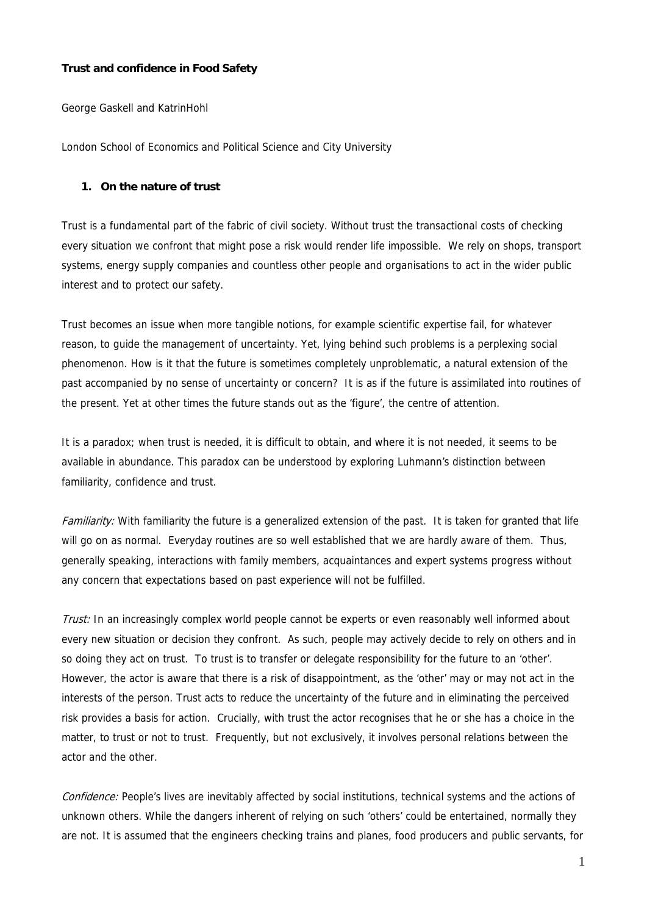## **Trust and confidence in Food Safety**

George Gaskell and KatrinHohl

London School of Economics and Political Science and City University

### **1. On the nature of trust**

Trust is a fundamental part of the fabric of civil society. Without trust the transactional costs of checking every situation we confront that might pose a risk would render life impossible. We rely on shops, transport systems, energy supply companies and countless other people and organisations to act in the wider public interest and to protect our safety.

Trust becomes an issue when more tangible notions, for example scientific expertise fail, for whatever reason, to guide the management of uncertainty. Yet, lying behind such problems is a perplexing social phenomenon. How is it that the future is sometimes completely unproblematic, a natural extension of the past accompanied by no sense of uncertainty or concern? It is as if the future is assimilated into routines of the present. Yet at other times the future stands out as the 'figure', the centre of attention.

It is a paradox; when trust is needed, it is difficult to obtain, and where it is not needed, it seems to be available in abundance. This paradox can be understood by exploring Luhmann's distinction between familiarity, confidence and trust.

Familiarity: With familiarity the future is a generalized extension of the past. It is taken for granted that life will go on as normal. Everyday routines are so well established that we are hardly aware of them. Thus, generally speaking, interactions with family members, acquaintances and expert systems progress without any concern that expectations based on past experience will not be fulfilled.

Trust: In an increasingly complex world people cannot be experts or even reasonably well informed about every new situation or decision they confront. As such, people may actively decide to rely on others and in so doing they act on trust. To trust is to transfer or delegate responsibility for the future to an 'other'. However, the actor is aware that there is a risk of disappointment, as the 'other' may or may not act in the interests of the person. Trust acts to reduce the uncertainty of the future and in eliminating the perceived risk provides a basis for action. Crucially, with trust the actor recognises that he or she has a choice in the matter, to trust or not to trust. Frequently, but not exclusively, it involves personal relations between the actor and the other.

Confidence: People's lives are inevitably affected by social institutions, technical systems and the actions of unknown others. While the dangers inherent of relying on such 'others' could be entertained, normally they are not. It is assumed that the engineers checking trains and planes, food producers and public servants, for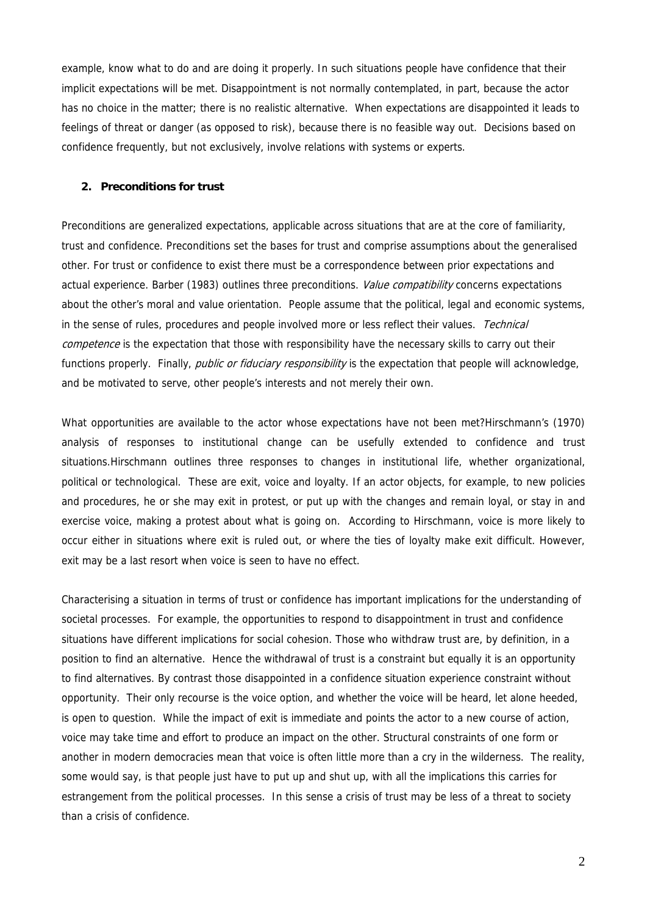example, know what to do and are doing it properly. In such situations people have confidence that their implicit expectations will be met. Disappointment is not normally contemplated, in part, because the actor has no choice in the matter; there is no realistic alternative. When expectations are disappointed it leads to feelings of threat or danger (as opposed to risk), because there is no feasible way out. Decisions based on confidence frequently, but not exclusively, involve relations with systems or experts.

### **2. Preconditions for trust**

Preconditions are generalized expectations, applicable across situations that are at the core of familiarity, trust and confidence. Preconditions set the bases for trust and comprise assumptions about the generalised other. For trust or confidence to exist there must be a correspondence between prior expectations and actual experience. Barber (1983) outlines three preconditions. Value compatibility concerns expectations about the other's moral and value orientation. People assume that the political, legal and economic systems, in the sense of rules, procedures and people involved more or less reflect their values. Technical competence is the expectation that those with responsibility have the necessary skills to carry out their functions properly. Finally, *public or fiduciary responsibility* is the expectation that people will acknowledge, and be motivated to serve, other people's interests and not merely their own.

What opportunities are available to the actor whose expectations have not been met?Hirschmann's (1970) analysis of responses to institutional change can be usefully extended to confidence and trust situations.Hirschmann outlines three responses to changes in institutional life, whether organizational, political or technological. These are exit, voice and loyalty. If an actor objects, for example, to new policies and procedures, he or she may exit in protest, or put up with the changes and remain loyal, or stay in and exercise voice, making a protest about what is going on. According to Hirschmann, voice is more likely to occur either in situations where exit is ruled out, or where the ties of loyalty make exit difficult. However, exit may be a last resort when voice is seen to have no effect.

Characterising a situation in terms of trust or confidence has important implications for the understanding of societal processes. For example, the opportunities to respond to disappointment in trust and confidence situations have different implications for social cohesion. Those who withdraw trust are, by definition, in a position to find an alternative. Hence the withdrawal of trust is a constraint but equally it is an opportunity to find alternatives. By contrast those disappointed in a confidence situation experience constraint without opportunity. Their only recourse is the voice option, and whether the voice will be heard, let alone heeded, is open to question. While the impact of exit is immediate and points the actor to a new course of action, voice may take time and effort to produce an impact on the other. Structural constraints of one form or another in modern democracies mean that voice is often little more than a cry in the wilderness. The reality, some would say, is that people just have to put up and shut up, with all the implications this carries for estrangement from the political processes. In this sense a crisis of trust may be less of a threat to society than a crisis of confidence.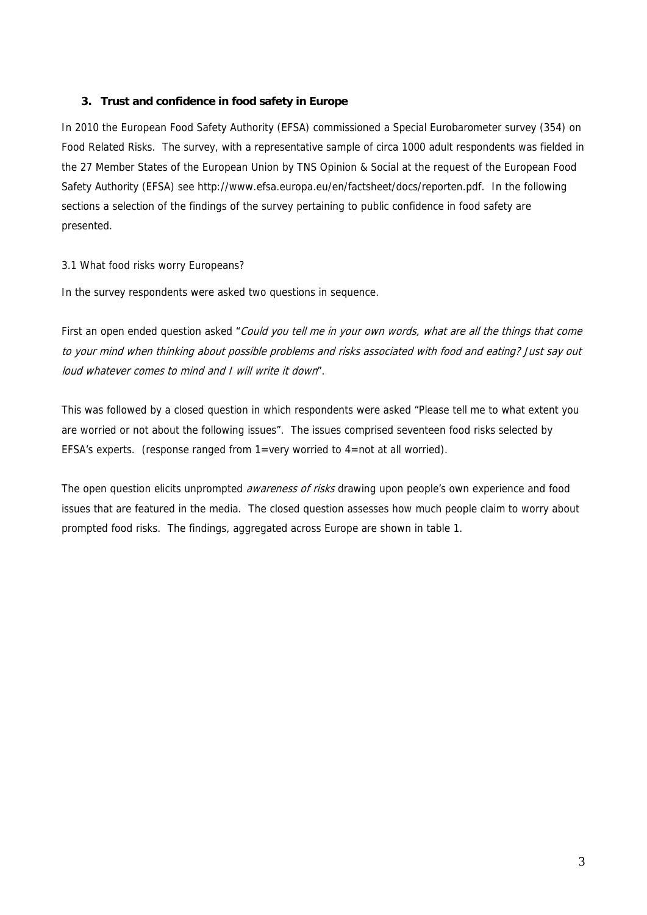# **3. Trust and confidence in food safety in Europe**

In 2010 the European Food Safety Authority (EFSA) commissioned a Special Eurobarometer survey (354) on Food Related Risks. The survey, with a representative sample of circa 1000 adult respondents was fielded in the 27 Member States of the European Union by TNS Opinion & Social at the request of the European Food Safety Authority (EFSA) see http://www.efsa.europa.eu/en/factsheet/docs/reporten.pdf. In the following sections a selection of the findings of the survey pertaining to public confidence in food safety are presented.

## 3.1 What food risks worry Europeans?

In the survey respondents were asked two questions in sequence.

First an open ended question asked "Could you tell me in your own words, what are all the things that come to your mind when thinking about possible problems and risks associated with food and eating? Just say out loud whatever comes to mind and I will write it down".

This was followed by a closed question in which respondents were asked "Please tell me to what extent you are worried or not about the following issues". The issues comprised seventeen food risks selected by EFSA's experts. (response ranged from 1=very worried to 4=not at all worried).

The open question elicits unprompted *awareness of risks* drawing upon people's own experience and food issues that are featured in the media. The closed question assesses how much people claim to worry about prompted food risks. The findings, aggregated across Europe are shown in table 1.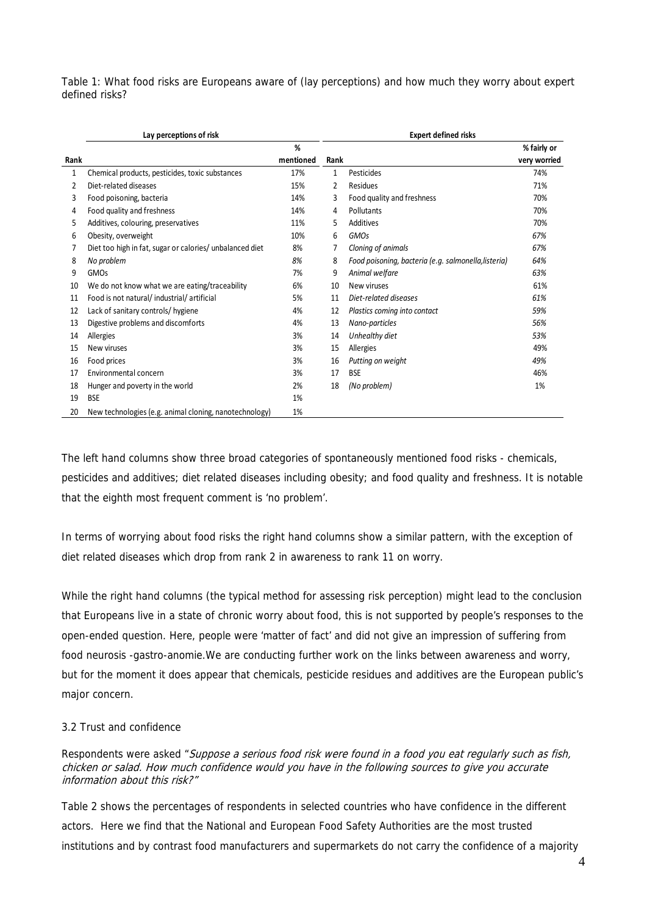Table 1: What food risks are Europeans aware of (lay perceptions) and how much they worry about expert defined risks?

|      | Lay perceptions of risk                                  |           |      | <b>Expert defined risks</b>                          |              |  |
|------|----------------------------------------------------------|-----------|------|------------------------------------------------------|--------------|--|
|      |                                                          | %         |      |                                                      | % fairly or  |  |
| Rank |                                                          | mentioned | Rank |                                                      | very worried |  |
| 1    | Chemical products, pesticides, toxic substances          | 17%       | 1    | Pesticides                                           | 74%          |  |
| 2    | Diet-related diseases                                    | 15%       | 2    | Residues                                             | 71%          |  |
| 3    | Food poisoning, bacteria                                 | 14%       | 3    | Food quality and freshness                           | 70%          |  |
| 4    | Food quality and freshness                               | 14%       | 4    | Pollutants                                           | 70%          |  |
| 5    | Additives, colouring, preservatives                      | 11%       | 5    | Additives                                            | 70%          |  |
| 6    | Obesity, overweight                                      | 10%       | 6    | <b>GMOs</b>                                          | 67%          |  |
|      | Diet too high in fat, sugar or calories/ unbalanced diet | 8%        | 7    | Cloning of animals                                   | 67%          |  |
| 8    | No problem                                               | 8%        | 8    | Food poisoning, bacteria (e.g. salmonella, listeria) | 64%          |  |
| 9    | <b>GMOs</b>                                              | 7%        | 9    | Animal welfare                                       | 63%          |  |
| 10   | We do not know what we are eating/traceability           | 6%        | 10   | New viruses                                          | 61%          |  |
| 11   | Food is not natural/industrial/artificial                | 5%        | 11   | Diet-related diseases                                | 61%          |  |
| 12   | Lack of sanitary controls/ hygiene                       | 4%        | 12   | Plastics coming into contact                         | 59%          |  |
| 13   | Digestive problems and discomforts                       | 4%        | 13   | Nano-particles                                       | 56%          |  |
| 14   | Allergies                                                | 3%        | 14   | Unhealthy diet                                       | 53%          |  |
| 15   | New viruses                                              | 3%        | 15   | Allergies                                            | 49%          |  |
| 16   | Food prices                                              | 3%        | 16   | Putting on weight                                    | 49%          |  |
| 17   | Environmental concern                                    | 3%        | 17   | <b>BSE</b>                                           | 46%          |  |
| 18   | Hunger and poverty in the world                          | 2%        | 18   | (No problem)                                         | 1%           |  |
| 19   | <b>BSE</b>                                               | 1%        |      |                                                      |              |  |
| 20   | New technologies (e.g. animal cloning, nanotechnology)   | 1%        |      |                                                      |              |  |

The left hand columns show three broad categories of spontaneously mentioned food risks - chemicals, pesticides and additives; diet related diseases including obesity; and food quality and freshness. It is notable that the eighth most frequent comment is 'no problem'.

In terms of worrying about food risks the right hand columns show a similar pattern, with the exception of diet related diseases which drop from rank 2 in awareness to rank 11 on worry.

While the right hand columns (the typical method for assessing risk perception) might lead to the conclusion that Europeans live in a state of chronic worry about food, this is not supported by people's responses to the open-ended question. Here, people were 'matter of fact' and did not give an impression of suffering from food neurosis -gastro-anomie.We are conducting further work on the links between awareness and worry, but for the moment it does appear that chemicals, pesticide residues and additives are the European public's major concern.

# 3.2 Trust and confidence

Respondents were asked "Suppose a serious food risk were found in a food you eat regularly such as fish, chicken or salad. How much confidence would you have in the following sources to give you accurate information about this risk?"

Table 2 shows the percentages of respondents in selected countries who have confidence in the different actors. Here we find that the National and European Food Safety Authorities are the most trusted institutions and by contrast food manufacturers and supermarkets do not carry the confidence of a majority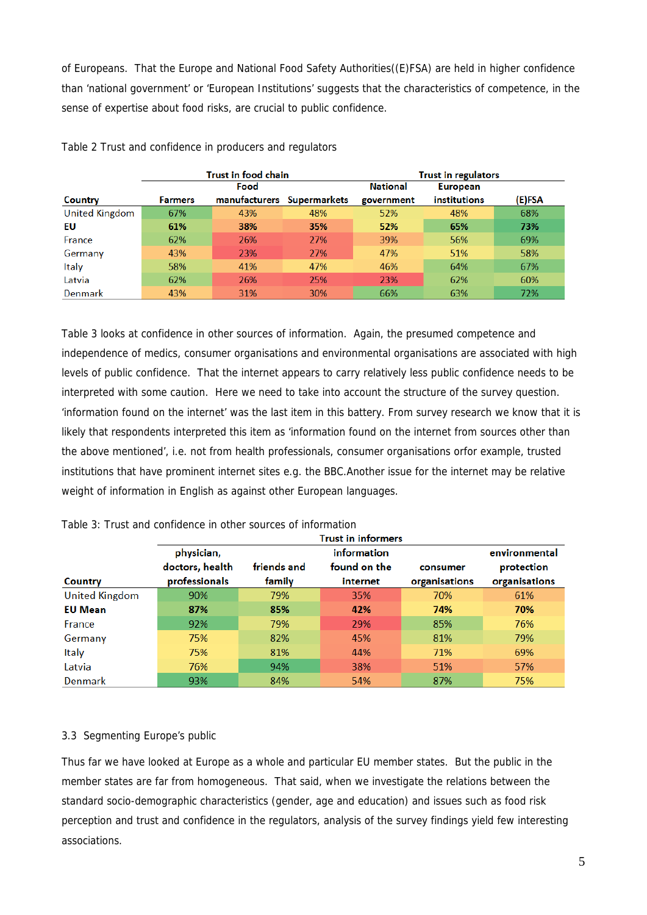of Europeans. That the Europe and National Food Safety Authorities((E)FSA) are held in higher confidence than 'national government' or 'European Institutions' suggests that the characteristics of competence, in the sense of expertise about food risks, are crucial to public confidence.

|                       |                | Trust in food chain        |     |                 | <b>Trust in regulators</b> |        |
|-----------------------|----------------|----------------------------|-----|-----------------|----------------------------|--------|
|                       |                | Food                       |     | <b>National</b> | <b>European</b>            |        |
| Country               | <b>Farmers</b> | manufacturers Supermarkets |     | government      | <b>institutions</b>        | (E)FSA |
| <b>United Kingdom</b> | 67%            | 43%                        | 48% | 52%             | 48%                        | 68%    |
| EU                    | 61%            | 38%                        | 35% | 52%             | 65%                        | 73%    |
| France                | 62%            | 26%                        | 27% | 39%             | 56%                        | 69%    |
| Germany               | 43%            | 23%                        | 27% | 47%             | 51%                        | 58%    |
| Italy                 | 58%            | 41%                        | 47% | 46%             | 64%                        | 67%    |
| Latvia                | 62%            | 26%                        | 25% | 23%             | 62%                        | 60%    |
| Denmark               | 43%            | 31%                        | 30% | 66%             | 63%                        | 72%    |

Table 2 Trust and confidence in producers and regulators

Table 3 looks at confidence in other sources of information. Again, the presumed competence and independence of medics, consumer organisations and environmental organisations are associated with high levels of public confidence. That the internet appears to carry relatively less public confidence needs to be interpreted with some caution. Here we need to take into account the structure of the survey question. 'information found on the internet' was the last item in this battery. From survey research we know that it is likely that respondents interpreted this item as 'information found on the internet from sources other than the above mentioned', i.e. not from health professionals, consumer organisations orfor example, trusted institutions that have prominent internet sites e.g. the BBC.Another issue for the internet may be relative weight of information in English as against other European languages.

|                | <b>Trust in informers</b> |             |              |               |               |
|----------------|---------------------------|-------------|--------------|---------------|---------------|
|                | physician,                |             | information  |               | environmental |
|                | doctors, health           | friends and | found on the | consumer      | protection    |
| Country        | professionals             | family      | internet     | organisations | organisations |
| United Kingdom | 90%                       | 79%         | 35%          | 70%           | 61%           |
| <b>EU Mean</b> | 87%                       | 85%         | 42%          | 74%           | 70%           |
| France         | 92%                       | 79%         | 29%          | 85%           | 76%           |
| Germany        | 75%                       | 82%         | 45%          | 81%           | 79%           |
| Italy          | 75%                       | 81%         | 44%          | 71%           | 69%           |
| Latvia         | 76%                       | 94%         | 38%          | 51%           | 57%           |
| <b>Denmark</b> | 93%                       | 84%         | 54%          | 87%           | 75%           |

Table 3: Trust and confidence in other sources of information

#### 3.3 Segmenting Europe's public

Thus far we have looked at Europe as a whole and particular EU member states. But the public in the member states are far from homogeneous. That said, when we investigate the relations between the standard socio-demographic characteristics (gender, age and education) and issues such as food risk perception and trust and confidence in the regulators, analysis of the survey findings yield few interesting associations.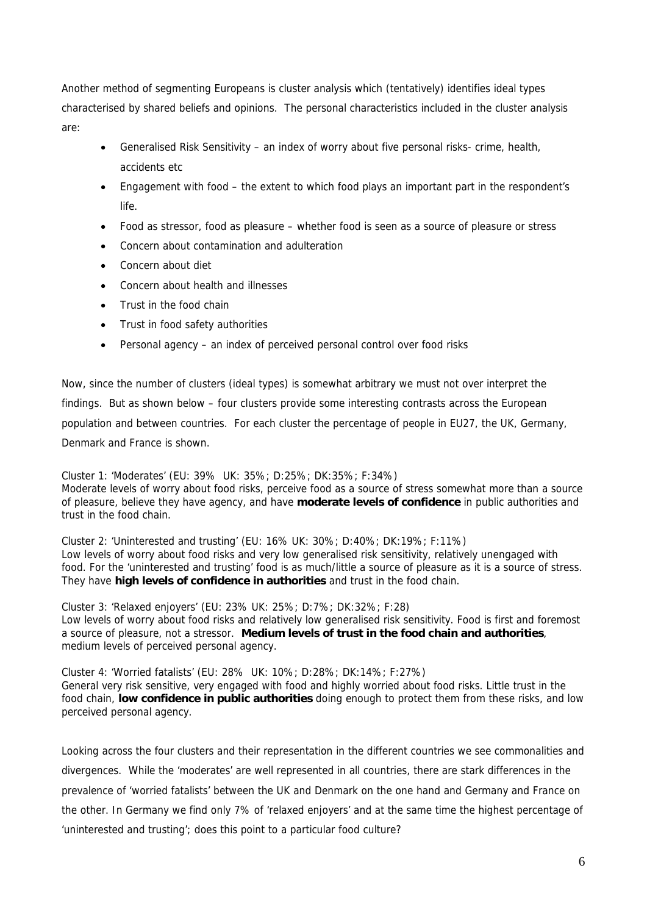Another method of segmenting Europeans is cluster analysis which (tentatively) identifies ideal types characterised by shared beliefs and opinions. The personal characteristics included in the cluster analysis are:

- Generalised Risk Sensitivity an index of worry about five personal risks- crime, health, accidents etc
- Engagement with food the extent to which food plays an important part in the respondent's life.
- Food as stressor, food as pleasure whether food is seen as a source of pleasure or stress
- Concern about contamination and adulteration
- Concern about diet
- Concern about health and illnesses
- Trust in the food chain
- Trust in food safety authorities
- Personal agency an index of perceived personal control over food risks

Now, since the number of clusters (ideal types) is somewhat arbitrary we must not over interpret the findings. But as shown below – four clusters provide some interesting contrasts across the European population and between countries. For each cluster the percentage of people in EU27, the UK, Germany, Denmark and France is shown.

Cluster 1: 'Moderates' (EU: 39% UK: 35%; D:25%; DK:35%; F:34%) Moderate levels of worry about food risks, perceive food as a source of stress somewhat more than a source of pleasure, believe they have agency, and have **moderate levels of confidence** in public authorities and trust in the food chain.

Cluster 2: 'Uninterested and trusting' (EU: 16% UK: 30%; D:40%; DK:19%; F:11%) Low levels of worry about food risks and very low generalised risk sensitivity, relatively unengaged with food. For the 'uninterested and trusting' food is as much/little a source of pleasure as it is a source of stress. They have **high levels of confidence in authorities** and trust in the food chain.

Cluster 3: 'Relaxed enjoyers' (EU: 23% UK: 25%; D:7%; DK:32%; F:28) Low levels of worry about food risks and relatively low generalised risk sensitivity. Food is first and foremost a source of pleasure, not a stressor. **Medium levels of trust in the food chain and authorities**, medium levels of perceived personal agency.

Cluster 4: 'Worried fatalists' (EU: 28% UK: 10%; D:28%; DK:14%; F:27%) General very risk sensitive, very engaged with food and highly worried about food risks. Little trust in the food chain, **low confidence in public authorities** doing enough to protect them from these risks, and low perceived personal agency.

Looking across the four clusters and their representation in the different countries we see commonalities and divergences. While the 'moderates' are well represented in all countries, there are stark differences in the prevalence of 'worried fatalists' between the UK and Denmark on the one hand and Germany and France on the other. In Germany we find only 7% of 'relaxed enjoyers' and at the same time the highest percentage of 'uninterested and trusting'; does this point to a particular food culture?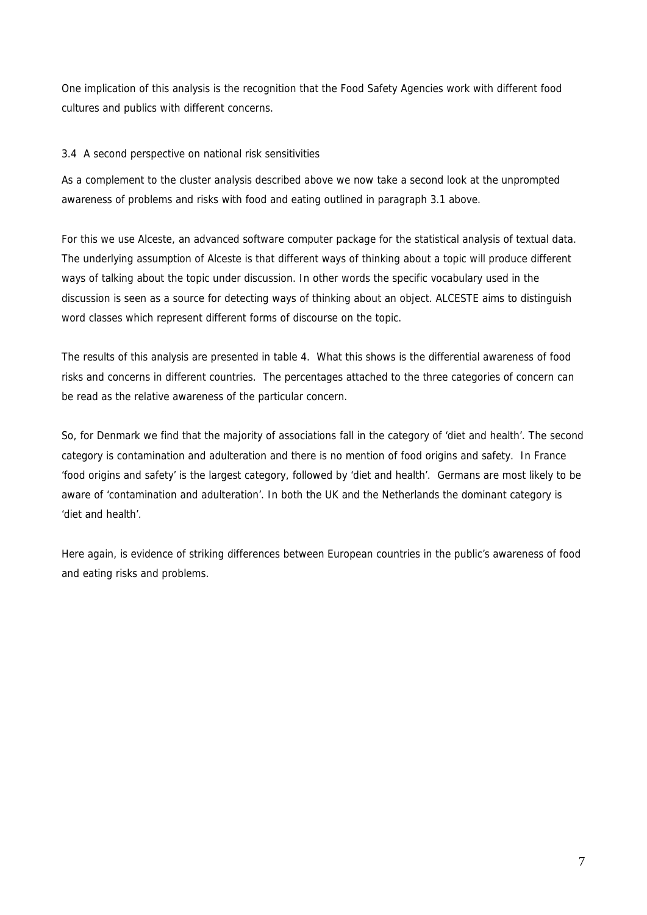One implication of this analysis is the recognition that the Food Safety Agencies work with different food cultures and publics with different concerns.

# 3.4 A second perspective on national risk sensitivities

As a complement to the cluster analysis described above we now take a second look at the unprompted awareness of problems and risks with food and eating outlined in paragraph 3.1 above.

For this we use Alceste, an advanced software computer package for the statistical analysis of textual data. The underlying assumption of Alceste is that different ways of thinking about a topic will produce different ways of talking about the topic under discussion. In other words the specific vocabulary used in the discussion is seen as a source for detecting ways of thinking about an object. ALCESTE aims to distinguish word classes which represent different forms of discourse on the topic.

The results of this analysis are presented in table 4. What this shows is the differential awareness of food risks and concerns in different countries. The percentages attached to the three categories of concern can be read as the relative awareness of the particular concern.

So, for Denmark we find that the majority of associations fall in the category of 'diet and health'. The second category is contamination and adulteration and there is no mention of food origins and safety. In France 'food origins and safety' is the largest category, followed by 'diet and health'. Germans are most likely to be aware of 'contamination and adulteration'. In both the UK and the Netherlands the dominant category is 'diet and health'.

Here again, is evidence of striking differences between European countries in the public's awareness of food and eating risks and problems.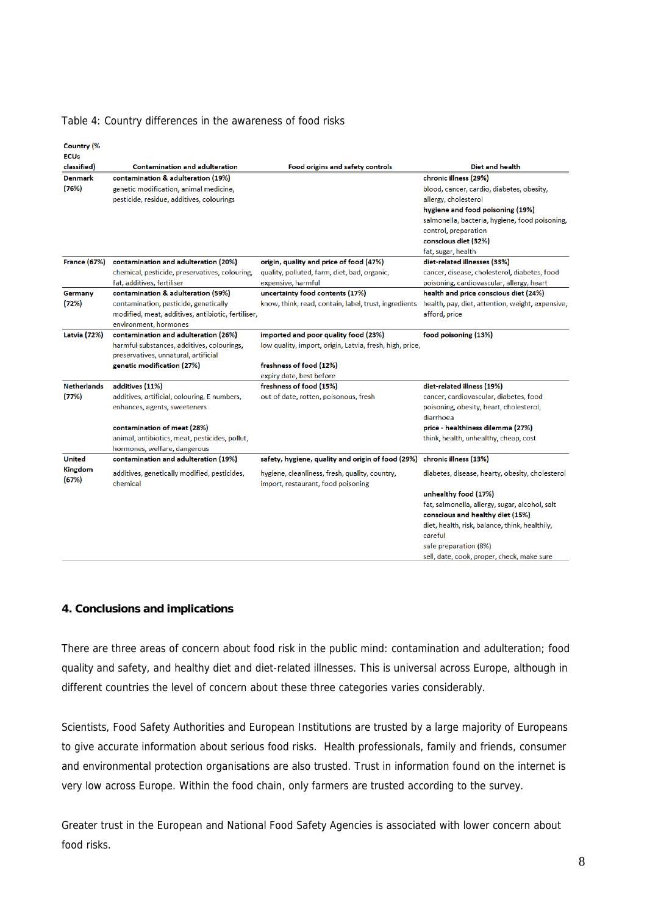#### Table 4: Country differences in the awareness of food risks

**Country (%** 

| <b>ECUs</b><br>classified) | <b>Contamination and adulteration</b>                    | Food origins and safety controls                                                     | <b>Diet and health</b>                                                            |
|----------------------------|----------------------------------------------------------|--------------------------------------------------------------------------------------|-----------------------------------------------------------------------------------|
| <b>Denmark</b>             | contamination & adulteration (19%)                       |                                                                                      | chronic illness (29%)                                                             |
| (76%)                      | genetic modification, animal medicine,                   |                                                                                      | blood, cancer, cardio, diabetes, obesity,                                         |
|                            | pesticide, residue, additives, colourings                |                                                                                      | allergy, cholesterol                                                              |
|                            |                                                          |                                                                                      | hygiene and food poisoning (19%)                                                  |
|                            |                                                          |                                                                                      | salmonella, bacteria, hygiene, food poisoning,                                    |
|                            |                                                          |                                                                                      | control, preparation                                                              |
|                            |                                                          |                                                                                      | conscious diet (32%)                                                              |
|                            |                                                          |                                                                                      | fat, sugar, health                                                                |
| <b>France (67%)</b>        | contamination and adulteration (20%)                     | origin, quality and price of food (47%)                                              | diet-related illnesses (33%)                                                      |
|                            | chemical, pesticide, preservatives, colouring,           | quality, polluted, farm, diet, bad, organic,                                         | cancer, disease, cholesterol, diabetes, food                                      |
|                            | fat, additives, fertiliser                               | expensive, harmful                                                                   | poisoning, cardiovascular, allergy, heart                                         |
| Germany                    | contamination & adulteration (59%)                       | uncertainty food contents (17%)                                                      | health and price conscious diet (24%)                                             |
| (72%)                      | contamination, pesticide, genetically                    | know, think, read, contain, label, trust, ingredients                                | health, pay, diet, attention, weight, expensive,                                  |
|                            | modified, meat, additives, antibiotic, fertiliser,       |                                                                                      | afford, price                                                                     |
|                            | environment, hormones                                    |                                                                                      |                                                                                   |
| <b>Latvia</b> (72%)        | contamination and adulteration (26%)                     | imported and poor quality food (23%)                                                 | food poisoning (13%)                                                              |
|                            | harmful substances, additives, colourings,               | low quality, import, origin, Latvia, fresh, high, price,                             |                                                                                   |
|                            | preservatives, unnatural, artificial                     |                                                                                      |                                                                                   |
|                            | genetic modification (27%)                               | freshness of food (12%)                                                              |                                                                                   |
| <b>Netherlands</b>         |                                                          | expiry date, best before                                                             |                                                                                   |
|                            | additives (11%)                                          | freshness of food (15%)                                                              | diet-related illness (19%)                                                        |
| (77%)                      | additives, artificial, colouring, E numbers,             | out of date, rotten, poisonous, fresh                                                | cancer, cardiovascular, diabetes, food<br>poisoning, obesity, heart, cholesterol, |
|                            | enhances, agents, sweeteners                             |                                                                                      | diarrhoea                                                                         |
|                            | contamination of meat (28%)                              |                                                                                      | price - healthiness dilemma (27%)                                                 |
|                            | animal, antibiotics, meat, pesticides, pollut,           |                                                                                      | think, health, unhealthy, cheap, cost                                             |
|                            | hormones, welfare, dangerous                             |                                                                                      |                                                                                   |
| <b>United</b>              | contamination and adulteration (19%)                     | safety, hygiene, quality and origin of food (29%)                                    | chronic illness (13%)                                                             |
| <b>Kingdom</b>             |                                                          |                                                                                      |                                                                                   |
| (67%)                      | additives, genetically modified, pesticides,<br>chemical | hygiene, cleanliness, fresh, quality, country,<br>import, restaurant, food poisoning | diabetes, disease, hearty, obesity, cholesterol                                   |
|                            |                                                          |                                                                                      | unhealthy food (17%)                                                              |
|                            |                                                          |                                                                                      | fat, salmonella, allergy, sugar, alcohol, salt                                    |
|                            |                                                          |                                                                                      | conscious and healthy diet (15%)                                                  |
|                            |                                                          |                                                                                      | diet, health, risk, balance, think, healthily,                                    |
|                            |                                                          |                                                                                      | careful                                                                           |
|                            |                                                          |                                                                                      | safe preparation (8%)                                                             |
|                            |                                                          |                                                                                      | sell, date, cook, proper, check, make sure                                        |

## **4. Conclusions and implications**

There are three areas of concern about food risk in the public mind: contamination and adulteration; food quality and safety, and healthy diet and diet-related illnesses. This is universal across Europe, although in different countries the level of concern about these three categories varies considerably.

Scientists, Food Safety Authorities and European Institutions are trusted by a large majority of Europeans to give accurate information about serious food risks. Health professionals, family and friends, consumer and environmental protection organisations are also trusted. Trust in information found on the internet is very low across Europe. Within the food chain, only farmers are trusted according to the survey.

Greater trust in the European and National Food Safety Agencies is associated with lower concern about food risks.